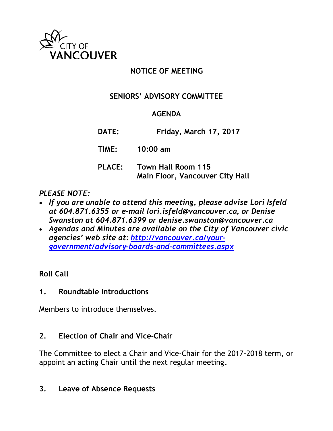

# **NOTICE OF MEETING**

# **SENIORS' ADVISORY COMMITTEE**

## **AGENDA**

**DATE: Friday, March 17, 2017**

**TIME: 10:00 am**

**PLACE: Town Hall Room 115 Main Floor, Vancouver City Hall**

# *PLEASE NOTE:*

- *If you are unable to attend this meeting, please advise Lori Isfeld at 604.871.6355 or e-mail lori.isfeld@vancouver.ca, or Denise Swanston at 604.871.6399 or denise.swanston@vancouver.ca*
- *Agendas and Minutes are available on the City of Vancouver civic agencies' web site at: [http://vancouver.ca/your](http://vancouver.ca/your-government/advisory-boards-and-committees.aspx)[government/advisory-boards-and-committees.aspx](http://vancouver.ca/your-government/advisory-boards-and-committees.aspx)*

## **Roll Call**

# **1. Roundtable Introductions**

Members to introduce themselves.

## **2. Election of Chair and Vice-Chair**

The Committee to elect a Chair and Vice-Chair for the 2017-2018 term, or appoint an acting Chair until the next regular meeting.

## **3. Leave of Absence Requests**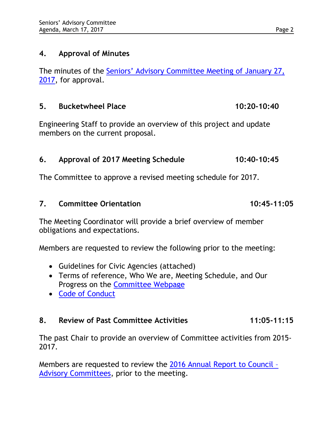### **4. Approval of Minutes**

The minutes of the [Seniors' Advisory Committee Meeting of January 27,](http://vancouver.ca/docs/council/sadv20170127min.pdf) [2017,](http://vancouver.ca/docs/council/sadv20170127min.pdf) for approval.

### **5.** Bucketwheel Place 10:20-10:40

Engineering Staff to provide an overview of this project and update members on the current proposal.

# **6. Approval of 2017 Meeting Schedule 10:40-10:45**

The Committee to approve a revised meeting schedule for 2017.

### **7. Committee Orientation 10:45-11:05**

The Meeting Coordinator will provide a brief overview of member obligations and expectations.

Members are requested to review the following prior to the meeting:

- Guidelines for Civic Agencies (attached)
- Terms of reference, Who We are, Meeting Schedule, and Our Progress on the [Committee Webpage](http://vancouver.ca/your-government/seniors-advisory-committee.aspx)
- [Code of Conduct](http://vancouver.ca/files/cov/boards-committees-code-of-conduct.pdf)

## **8. Review of Past Committee Activities 11:05-11:15**

The past Chair to provide an overview of Committee activities from 2015- 2017.

Members are requested to review the [2016 Annual Report to Council –](http://vancouver.ca/files/cov/annual-activities-report-for-advisory-committees.pdf)  [Advisory Committees,](http://vancouver.ca/files/cov/annual-activities-report-for-advisory-committees.pdf) prior to the meeting.